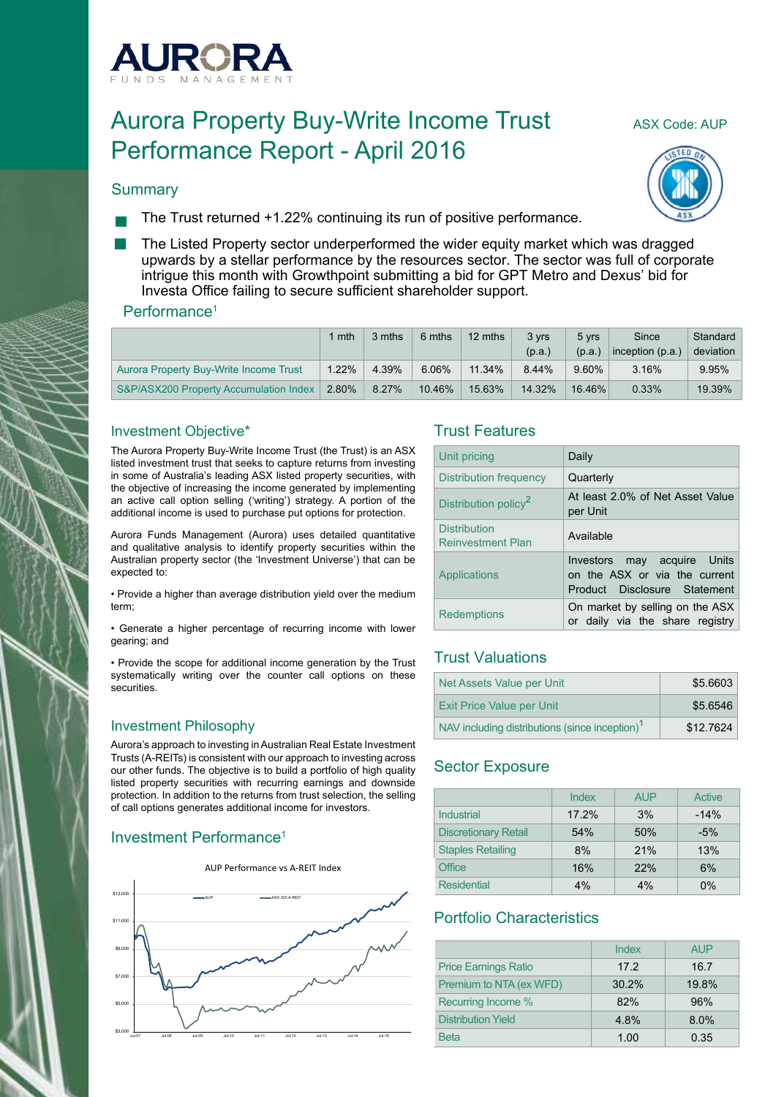

# Aurora Property Buy-Write Income Trust ASX Code: AUP Performance Report - April 2016



#### **Summary**

- The Trust returned +1.22% continuing its run of positive performance.
- The Listed Property sector underperformed the wider equity market which was dragged upwards by a stellar performance by the resources sector. The sector was full of corporate intrigue this month with Growthpoint submitting a bid for GPT Metro and Dexus' bid for Investa Office failing to secure sufficient shareholder support.

#### Performance<sup>1</sup>

|                                        | mth      | 3 mths | 6 mths   | 12 mths | 3 vrs<br>(p.a.) | 5 vrs<br>(p.a.) | Since<br>inception (p.a.) | Standard<br>deviation |
|----------------------------------------|----------|--------|----------|---------|-----------------|-----------------|---------------------------|-----------------------|
| Aurora Property Buy-Write Income Trust | $1.22\%$ | 4.39%  | $6.06\%$ | 11.34%  | 8.44%           | $9.60\%$        | 3.16%                     | 9.95%                 |
| S&P/ASX200 Property Accumulation Index | 2.80%    | 8.27%  | 10.46%   | 15.63%  | 14.32%          | 16.46%          | $0.33\%$                  | 19.39%                |

#### Investment Objective\*

The Aurora Property Buy-Write Income Trust (the Trust) is an ASX listed investment trust that seeks to capture returns from investing in some of Australia's leading ASX listed property securities, with the objective of increasing the income generated by implementing an active call option selling ('writing') strategy. A portion of the additional income is used to purchase put options for protection.

Aurora Funds Management (Aurora) uses detailed quantitative and qualitative analysis to identify property securities within the Australian property sector (the 'Investment Universe') that can be expected to:

• Provide a higher than average distribution yield over the medium term;

• Generate a higher percentage of recurring income with lower gearing; and

• Provide the scope for additional income generation by the Trust systematically writing over the counter call options on these **securities** 

#### Investment Philosophy

Aurora's approach to investing in Australian Real Estate Investment Trusts (A-REITs) is consistent with our approach to investing across our other funds. The objective is to build a portfolio of high quality listed property securities with recurring earnings and downside protection. In addition to the returns from trust selection, the selling of call options generates additional income for investors.

# Investment Performance1



#### Trust Features

| Unit pricing                                    | Daily                                                                                        |
|-------------------------------------------------|----------------------------------------------------------------------------------------------|
| <b>Distribution frequency</b>                   | Quarterly                                                                                    |
| Distribution policy <sup>2</sup>                | At least 2.0% of Net Asset Value<br>per Unit                                                 |
| <b>Distribution</b><br><b>Reinvestment Plan</b> | Available                                                                                    |
| Applications                                    | Investors may acquire Units<br>on the ASX or via the current<br>Product Disclosure Statement |
| <b>Redemptions</b>                              | On market by selling on the ASX<br>or daily via the share registry                           |

## Trust Valuations

| Net Assets Value per Unit                                  | \$5.6603  |
|------------------------------------------------------------|-----------|
| <b>Exit Price Value per Unit</b>                           | \$5.6546  |
| NAV including distributions (since inception) <sup>1</sup> | \$12,7624 |

# Sector Exposure

|                             | Index | <b>AUP</b> | Active |
|-----------------------------|-------|------------|--------|
| Industrial                  | 17.2% | 3%         | $-14%$ |
| <b>Discretionary Retail</b> | 54%   | 50%        | $-5%$  |
| <b>Staples Retailing</b>    | 8%    | 21%        | 13%    |
| Office                      | 16%   | 22%        | 6%     |
| <b>Residential</b>          | 4%    | 4%         | $0\%$  |

### Portfolio Characteristics

|                             | Index | <b>AUP</b> |
|-----------------------------|-------|------------|
| <b>Price Earnings Ratio</b> | 17.2  | 16.7       |
| Premium to NTA (ex WFD)     | 30.2% | 19.8%      |
| Recurring Income %          | 82%   | 96%        |
| <b>Distribution Yield</b>   | 4.8%  | 8.0%       |
| <b>Beta</b>                 | 1.00  | 0.35       |